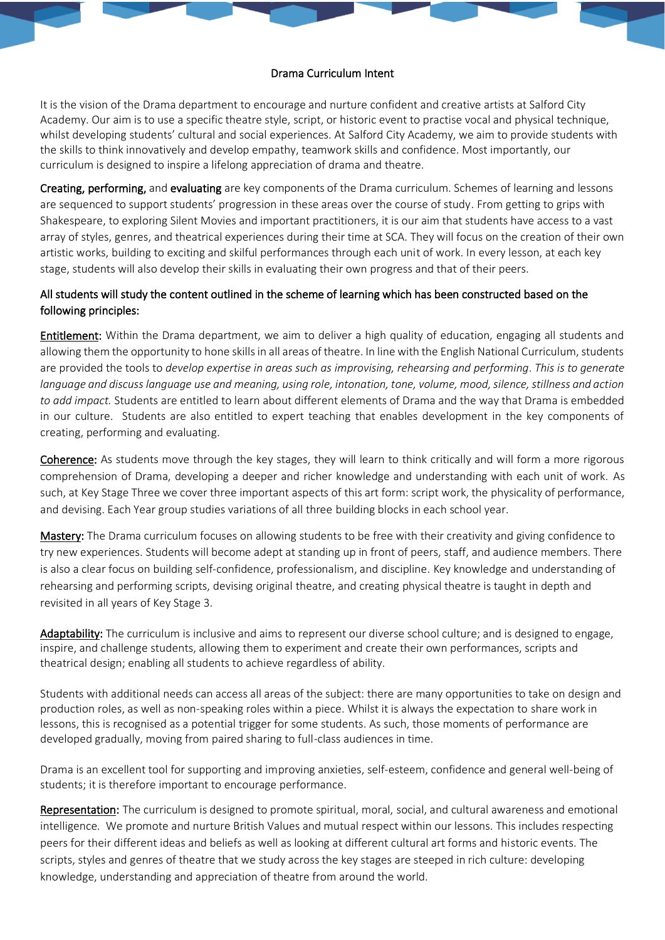## Drama Curriculum Intent

It is the vision of the Drama department to encourage and nurture confident and creative artists at Salford City Academy. Our aim is to use a specific theatre style, script, or historic event to practise vocal and physical technique, whilst developing students' cultural and social experiences. At Salford City Academy, we aim to provide students with the skills to think innovatively and develop empathy, teamwork skills and confidence. Most importantly, our curriculum is designed to inspire a lifelong appreciation of drama and theatre.

Creating, performing, and evaluating are key components of the Drama curriculum. Schemes of learning and lessons are sequenced to support students' progression in these areas over the course of study. From getting to grips with Shakespeare, to exploring Silent Movies and important practitioners, it is our aim that students have access to a vast array of styles, genres, and theatrical experiences during their time at SCA. They will focus on the creation of their own artistic works, building to exciting and skilful performances through each unit of work. In every lesson, at each key stage, students will also develop their skills in evaluating their own progress and that of their peers.

## All students will study the content outlined in the scheme of learning which has been constructed based on the following principles:

Entitlement: Within the Drama department, we aim to deliver a high quality of education, engaging all students and allowing them the opportunity to hone skills in all areas of theatre. In line with the English National Curriculum, students are provided the tools to *develop expertise in areas such as improvising, rehearsing and performing*. *This is to generate language and discuss language use and meaning, using role, intonation, tone, volume, mood, silence, stillness and action to add impact.* Students are entitled to learn about different elements of Drama and the way that Drama is embedded in our culture. Students are also entitled to expert teaching that enables development in the key components of creating, performing and evaluating.

Coherence: As students move through the key stages, they will learn to think critically and will form a more rigorous comprehension of Drama, developing a deeper and richer knowledge and understanding with each unit of work. As such, at Key Stage Three we cover three important aspects of this art form: script work, the physicality of performance, and devising. Each Year group studies variations of all three building blocks in each school year.

Mastery: The Drama curriculum focuses on allowing students to be free with their creativity and giving confidence to try new experiences. Students will become adept at standing up in front of peers, staff, and audience members. There is also a clear focus on building self-confidence, professionalism, and discipline. Key knowledge and understanding of rehearsing and performing scripts, devising original theatre, and creating physical theatre is taught in depth and revisited in all years of Key Stage 3.

Adaptability: The curriculum is inclusive and aims to represent our diverse school culture; and is designed to engage, inspire, and challenge students, allowing them to experiment and create their own performances, scripts and theatrical design; enabling all students to achieve regardless of ability.

Students with additional needs can access all areas of the subject: there are many opportunities to take on design and production roles, as well as non-speaking roles within a piece. Whilst it is always the expectation to share work in lessons, this is recognised as a potential trigger for some students. As such, those moments of performance are developed gradually, moving from paired sharing to full-class audiences in time.

Drama is an excellent tool for supporting and improving anxieties, self-esteem, confidence and general well-being of students; it is therefore important to encourage performance.

Representation: The curriculum is designed to promote spiritual, moral, social, and cultural awareness and emotional intelligence. We promote and nurture British Values and mutual respect within our lessons. This includes respecting peers for their different ideas and beliefs as well as looking at different cultural art forms and historic events. The scripts, styles and genres of theatre that we study across the key stages are steeped in rich culture: developing knowledge, understanding and appreciation of theatre from around the world.